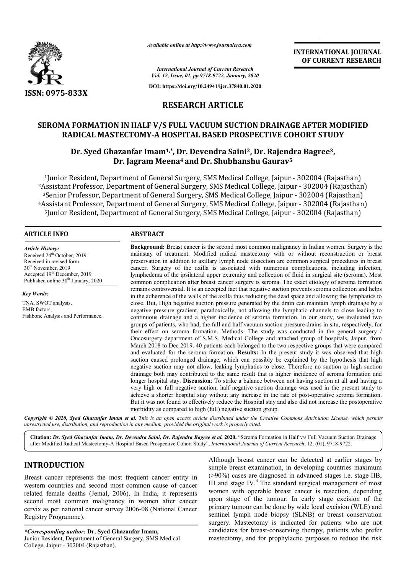

*Available online at http://www.journalcra.com*

**INTERNATIONAL JOURNAL OF CURRENT RESEARCH**

*International Journal of Current Research Vol. 12, Issue, 01, pp.9718-9722, January, 2020*

**DOI: https://doi.org/10.24941/ijcr.37840.01.2020**

## **RESEARCH ARTICLE**

# **SEROMA FORMATION IN HALF V/S FULL VACUUM SUCTION DRAINAGE AFTER MODIFIED RADICAL MASTECTOMY MASTECTOMY-A HOSPITAL BASED PROSPECTIVE COHORT STUDY** V/S FULL VACUUM SUCTION DRAINAGE AFTER MODIFIED<br>A HOSPITAL BASED PROSPECTIVE COHORT STUDY<br>am<sup>1,\*</sup>, Dr. Devendra Saini<sup>2</sup>, Dr. Rajendra Bagree<sup>3</sup>,

## **Dr. Syed Ghazanfar Imam Imam1,\*, Dr. Devendra Saini2, Dr. Rajendra Bagree Dr. Jagram Meena Meena4 and Dr. Shubhanshu Gaurav5**

<sup>1</sup>Junior Resident, Department of General Surgery, SMS Medical College, Jaipur - 302004 (Rajasthan) <sup>2</sup>Assistant Professor, Department of General Surgery, SMS Medical College, Jaipur - 302004 (Rajasthan) <sup>3</sup>Senior Professor, Department of General Surgery, SMS Medical College, Jaipur - 302004 (Rajasthan) 4Assistant Professor, Department of General Surgery, SMS Medical College, Jaipur 5Junior Resident, Department of General Surgery, SMS Medical College, Jaipur 302004 (Rajasthan) Assistant Professor, Department of General Surgery, SMS Medical College, Jaipu:<br><sup>3</sup>Senior Professor, Department of General Surgery, SMS Medical College, Jaipur<br>Assistant Professor, Department of General Surgery, SMS Medica Assistant Professor, Department of General Surgery, SMS Medical College, Jaipur - 302004 (Rajasthan)

### **ARTICLE INFO ABSTRACT**

*Article History:* Received 24<sup>th</sup> October, 2019 Received in revised form 30<sup>th</sup> November, 2019 Accepted 19th December, 2019 Published online 30<sup>th</sup> January, 2020

*Key Words:*

TNA, SWOT analysis, EMB factors, Fishbone Analysis and Performance. mainstay of treatment. Modified radical mastectomy with or without reconstruction or breast Background: Breast cancer is the second most common malignancy in Indian women. Surgery is the mainstay of treatment. Modified radical mastectomy with or without reconstruction or breast preservation in addition to axillar cancer. Surgery of the axilla is associated with numerous complications, including infection, lymphedema of the ipsilateral upper extremity and collection of fluid in surgical site (seroma). Most common complication after breast cancer surgery is seroma. The exact etiology of seroma formation remains controversial. It is an accepted fact that negative suction prevents seroma collection and helps in the adherence of the walls of the axilla thus reducing the dead space and allowing the lymphatics to close. But, High negative suction pressure generated by the drain can maintain lymph drainage by a negative pressure gradient, paradoxically, not allowing the lymphatic channels to close leading to continuous drainage and a higher incidence of seroma formation. In our study, we evaluated two groups of patients, who had, the full and half vacuum suction pressure drains in situ, respectively, for their effect on seroma formation. Methods- The study was conducted in the general surgery / Oncosurgery department of S.M.S. Medical College and attached group of hospitals, Jaipur, from March 2018 to Dec 2019. 40 patients each belonged to the two respective groups that were compared and evaluated for the seroma formation. **Results:** In the present study it wa suction caused prolonged drainage, which can possibly be explained by the hypothesis that high negative suction may not allow, leaking lymphatics to close. Therefore no suction or high suction drainage both may contributed to the same result that is higher incidence of seroma formation and longer hospital stay. **Discussion**: To strike a balance between not having suction at all and having a very high or full negative suction, half negative suction drainage was used in the present study to achieve a shorter hospital stay without any increase in the rate of post-operative seroma formation. But it was not found to effectively reduce the Hospital stay and also did not increase the postoperative morbidity as compared to high (full) negative suction group. cancer. Surgery of the axilla is associated with numerous complications, including infection, lymphedema of the ipsilateral upper extremity and collection of fluid in surgical site (seroma). Most common complication after close. But, High negative suction pressure generated by the drain can maintain lymph drainage by a negative pressure gradient, paradoxically, not allowing the lymphatic channels to close leading to continuous drainage and suction caused prolonged drainage, which can possibly be explained by the hypothesis that high negative suction may not allow, leaking lymphatics to close. Therefore no suction or high suction drainage both may contributed INTERNATIONAL JOURNAL<br>
COF CURRENT RESEARCH<br>
COF CURRENT RESEARCH<br>
2017 Joung, 2020<br>
2017 Joung, 2020<br>
2017 Joung, 2020<br>
2017 Joung, 2020<br>
2020 (ARISTICLE<br>
COMORT STUDY<br>
2020 (Rigisthan)<br>
SMS Medical College, Jaipur - 3020

**Background:** Breast cancer is the second most common malignancy in Indian women. Surgery is the

Copyright © 2020, Syed Ghazanfar Imam et al. This is an open access article distributed under the Creative Commons Attribution License, which permits *unrestricted use, distribution, and reproduction in any medium, provided the original work is properly cited.*

Citation: Dr. Syed Ghazanfar Imam, Dr. Devendra Saini, Dr. Rajendra Bagree et al. 2020. "Seroma Formation in Half v/s Full Vacuum Suction Drainage Citation: *Dr. Syed Ghazanfar Imam, Dr. Devendra Saini, Dr. Rajendra Bagree et al. 2020. "Seroma Formation in Half v/s Full Vacuum Suction<br>after Modified Radical Mastectomy-A Hospital Based Prospective Cohort Study", <i>Inte* 

## **INTRODUCTION**

Breast cancer represents the most frequent cancer entity in western countries and second most common cause of cancer related female deaths (Jemal, 2006). In India, it represents second most common malignancy in women after cancer cervix as per national cancer survey 2006-08 Registry Programme). . In India, it represents<br>in women after cancer<br>006-08 (National Cancer

*\*Corresponding author:* **Dr. Syed Ghazanfar Imam Imam,** Junior Resident, Department of General Surgery, SMS Medical College, Jaipur - 302004 (Rajasthan).

Although breast cancer can be detected at earlier stages by simple breast examination, in developing countries maximum  $(>90%)$  cases are diagnosed in advanced stages i.e. stage IIB, III and stage IV.<sup>4</sup> The standard surgical management of most women with operable breast cancer is resection, depending upon stage of the tumour. In early stage excision of the primary tumour can be done by wide local excision (WLE) and sentinel lymph node biopsy (SLNB) or breast conservation surgery. Mastectomy is indicated for patients who are not candidates for breast-conserving therapy, patients who prefer mastectomy, and for prophylactic purposes to reduce the risk in the detected at earlier stages by<br>in developing countries maximum<br>I in advanced stages i.e. stage IIB,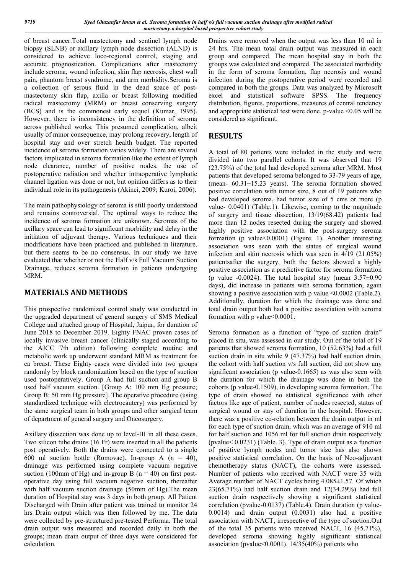of breast cancer.Total mastectomy and sentinel lymph node biopsy (SLNB) or axillary lymph node dissection (ALND) is considered to achieve loco-regional control, staging and accurate prognostication. Complications after mastectomy include seroma, wound infection, skin flap necrosis, chest wall pain, phantom breast syndrome, and arm morbidity.Seroma is a collection of serous fluid in the dead space of postmastectomy skin flap, axilla or breast following modified radical mastectomy (MRM) or breast conserving surgery (BCS) and is the commonest early sequel (Kumar, 1995). However, there is inconsistency in the definition of seroma across published works. This presumed complication, albeit usually of minor consequence, may prolong recovery, length of hospital stay and over stretch health budget. The reported incidence of seroma formation varies widely. There are several factors implicated in seroma formation like the extent of lymph node clearance, number of positive nodes, the use of postoperative radiation and whether intraoperative lymphatic channel ligation was done or not, but opinion differs as to their individual role in its pathogenesis (Akinci, 2009; Kuroi, 2006).

The main pathophysiology of seroma is still poorly understood and remains controversial. The optimal ways to reduce the incidence of seroma formation are unknown. Seromas of the axillary space can lead to significant morbidity and delay in the initiation of adjuvant therapy. Various techniques and their modifications have been practiced and published in literature, but there seems to be no consensus. In our study we have evaluated that whether or not the Half v/s Full Vacuum Suction Drainage, reduces seroma formation in patients undergoing MRM.

## **MATERIALS AND METHODS**

This prospective randomized control study was conducted in the upgraded department of general surgery of SMS Medical College and attached group of Hospital, Jaipur, for duration of June 2018 to December 2019. Eighty FNAC proven cases of locally invasive breast cancer (clinically staged according to the AJCC 7th edition) following complete routine and metabolic work up underwent standard MRM as treatment for ca breast. These Eighty cases were divided into two groups randomly by block randomization based on the type of suction used postoperatively. Group A had full suction and group B used half vacuum suction. [Group A: 100 mm Hg pressure; Group B: 50 mm Hg pressure]. The operative procedure (using standardized technique with electrocautery) was performed by the same surgical team in both groups and other surgical team of department of general surgery and Oncosurgery.

Axillary dissection was done up to level-III in all these cases. Two silicon tube drains (16 Fr) were inserted in all the patients post operatively. Both the drains were connected to a single 600 ml suction bottle (Romovac). In-group A  $(n = 40)$ , drainage was performed using complete vacuum negative suction (100mm of Hg) and in-group B ( $n = 40$ ) on first postoperative day using full vacuum negative suction, thereafter with half vacuum suction drainage (50mm of Hg). The mean duration of Hospital stay was 3 days in both group. All Patient Discharged with Drain after patient was trained to monitor 24 hrs Drain output which was then followed by me. The data were collected by pre-structured pre-tested Performa. The total drain output was measured and recorded daily in both the groups; mean drain output of three days were considered for calculation.

Drains were removed when the output was less than 10 ml in 24 hrs. The mean total drain output was measured in each group and compared. The mean hospital stay in both the groups was calculated and compared. The associated morbidity in the form of seroma formation, flap necrosis and wound infection during the postoperative period were recorded and compared in both the groups. Data was analyzed by Microsoft excel and statistical software SPSS. The frequency distribution, figures, proportions, measures of central tendency and appropriate statistical test were done. p-value <0.05 will be considered as significant.

## **RESULTS**

A total of 80 patients were included in the study and were divided into two parallel cohorts. It was observed that 19 (23.75%) of the total had developed seroma after MRM. Most patients that developed seroma belonged to 33-79 years of age, (mean-  $60.31 \pm 15.23$  years). The seroma formation showed positive correlation with tumor size, 8 out of 19 patients who had developed seroma, had tumor size of 5 cms or more (p value- 0.0401) (Table.1). Likewise, coming to the magnitude of surgery and tissue dissection, 13/19(68.42) patients had more than 12 nodes resected during the surgery and showed highly positive association with the post-surgery seroma formation (p value<0.0001) (Figure. 1). Another interesting association was seen with the status of surgical wound infection and skin necrosis which was seen in 4/19 (21.05%) patientsafter the surgery, both the factors showed a highly positive association as a predictive factor for seroma formation (p value -0.0024). The total hospital stay (mean  $3.57\pm0.90$ days), did increase in patients with seroma formation, again showing a positive association with p value <0.0002 (Table.2). Additionally, duration for which the drainage was done and total drain output both had a positive association with seroma formation with p value<0.0001.

Seroma formation as a function of "type of suction drain" placed in situ, was assessed in our study. Out of the total of 19 patients that showed seroma formation, 10 (52.63%) had a full suction drain in situ while 9 (47.37%) had half suction drain, the cohort with half suction v/s full suction, did not show any significant association (p value-0.1665) as was also seen with the duration for which the drainage was done in both the cohorts (p value-0.1509), in developing seroma formation. The type of drain showed no statistical significance with other factors like age of patient, number of nodes resected, status of surgical wound or stay of duration in the hospital. However, there was a positive co-relation between the drain output in ml for each type of suction drain, which was an average of 910 ml for half suction and 1056 ml for full suction drain respectively (pvalue< 0.0231) (Table. 3). Type of drain output as a function of positive lymph nodes and tumor size has also shown positive statistical correlation. On the basis of Neo-adjuvant chemotherapy status (NACT), the cohorts were assessed. Number of patients who received with NACT were 35 with Average number of NACT cycles being 4.085±1.57. Of which 23(65.71%) had half suction drain and 12(34.29%) had full suction drain respectively showing a significant statistical correlation (pvalue-0.0137) (Table.4). Drain duration (p value-0.0014) and drain output (0.0031) also had a positive association with NACT, irrespective of the type of suction.Out of the total 35 patients who received NACT, 16 (45.71%), developed seroma showing highly significant statistical association (pvalue  $0.0001$ ). 14/35(40%) patients who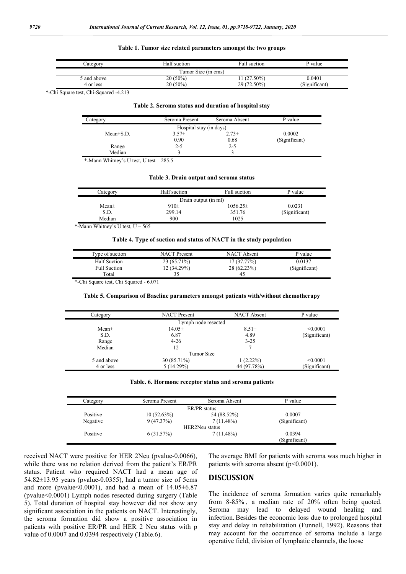#### **Table 1. Tumor size related parameters amongst the two groups**

| ategory             | Half suction | Full suction  | P value      |  |
|---------------------|--------------|---------------|--------------|--|
| Tumor Size (in cms) |              |               |              |  |
| $\dot{5}$ and above | $20(50\%)$   | $11(27.50\%)$ | 0.0401       |  |
| 4 or less           | $20(50\%)$   | 29 (72.50%)   | Significant) |  |

\*-Chi Square test, Chi-Squared -4.213

#### **Table 2. Seroma status and duration of hospital stay**

| Category                | Seroma Present | Seroma Absent | P value       |  |  |
|-------------------------|----------------|---------------|---------------|--|--|
| Hospital stay (in days) |                |               |               |  |  |
| $Mean \pm S.D.$         | $3.57\pm$      | $2.73 \pm$    | 0.0002        |  |  |
|                         | 0.90           | 0.68          | (Significant) |  |  |
| Range                   | $2 - 5$        | $2 - 5$       |               |  |  |
| Median                  |                |               |               |  |  |

\*-Mann Whitney's U test, U test – 285.5

#### **Table 3. Drain output and seroma status**

| Category             | Half suction | Full suction  | P value       |  |  |
|----------------------|--------------|---------------|---------------|--|--|
| Drain output (in ml) |              |               |               |  |  |
| $Mean\pm$            | $910\pm$     | $1056.25 \pm$ | 0.0231        |  |  |
| S.D.                 | 299.14       | 351.76        | (Significant) |  |  |
| Median               | 900          | 1025          |               |  |  |

\*-Mann Whitney's U test, U – 565

#### **Table 4. Type of suction and status of NACT in the study population**

| Type of suction     | <b>NACT</b> Present | NACT Absent | P value       |
|---------------------|---------------------|-------------|---------------|
| Half Suction        | 23 (65.71%)         | 17(37.77%)  | 0.0137        |
| <b>Full Suction</b> | 12(34.29%)          | 28 (62.23%) | (Significant) |
| Total               | 35                  | 45          |               |

\*-Chi Square test, Chi Squared - 6.071

#### **Table 5. Comparison of Baseline parameters amongst patients with/without chemotherapy**

| Category    | <b>NACT</b> Present | <b>NACT</b> Absent | P value       |
|-------------|---------------------|--------------------|---------------|
|             | Lymph node resected |                    |               |
| Mean±       | $14.05\pm$          | $8.51 \pm$         | < 0.0001      |
| S.D.        | 6.87                | 4.89               | (Significant) |
| Range       | $4 - 26$            | $3 - 25$           |               |
| Median      | 12                  |                    |               |
|             | Tumor Size          |                    |               |
| 5 and above | 30 (85.71%)         | $1(2.22\%)$        | < 0.0001      |
| 4 or less   | 5(14.29%)           | 44 (97.78%)        | (Significant) |
|             |                     |                    |               |

**Table. 6. Hormone receptor status and seroma patients**

| Category | Seroma Present | Seroma Absent  | P value       |
|----------|----------------|----------------|---------------|
|          |                | ER/PR status   |               |
| Positive | 10(52.63%)     | 54 (88.52%)    | 0.0007        |
| Negative | 9(47.37%)      | $7(11.48\%)$   | (Significant) |
|          |                | HER2Neu status |               |
| Positive | 6(31.57%)      | $7(11.48\%)$   | 0.0394        |
|          |                |                | (Significant) |

received NACT were positive for HER 2Neu (pvalue-0.0066), while there was no relation derived from the patient's ER/PR status. Patient who required NACT had a mean age of  $54.82 \pm 13.95$  years (pvalue-0.0355), had a tumor size of 5cms and more (pvalue< $0.0001$ ), and had a mean of  $14.05\pm6.87$ (pvalue<0.0001) Lymph nodes resected during surgery (Table 5). Total duration of hospital stay however did not show any significant association in the patients on NACT. Interestingly, the seroma formation did show a positive association in patients with positive ER/PR and HER 2 Neu status with p value of 0.0007 and 0.0394 respectively (Table.6).

The average BMI for patients with seroma was much higher in patients with seroma absent  $(p<0.0001)$ .

#### **DISCUSSION**

The incidence of seroma formation varies quite remarkably from 8-85% , a median rate of 20% often being quoted. Seroma may lead to delayed wound healing and infection. Besides the economic loss due to prolonged hospital stay and delay in rehabilitation (Funnell, 1992). Reasons that may account for the occurrence of seroma include a large operative field, division of lymphatic channels, the loose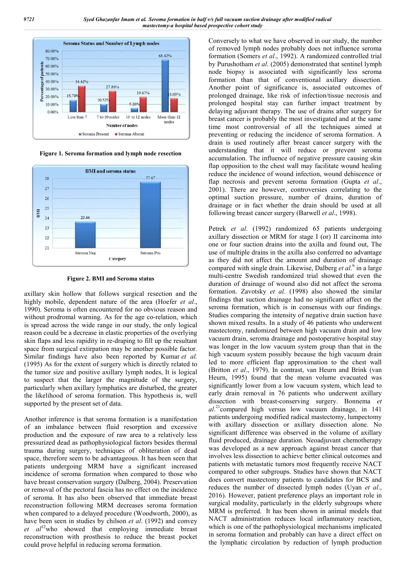

**Figure 1. Seroma formation and lymph node resection**



**Figure 2. BMI and Seroma status**

axillary skin hollow that follows surgical resection and the highly mobile, dependent nature of the area (Hoefer *et al*., 1990). Seroma is often encountered for no obvious reason and without prodromal warning. As for the age co-relation, which is spread across the wide range in our study, the only logical reason could be a decrease in elastic properties of the overlying skin flaps and less rapidity in re-draping to fill up the resultant space from surgical extirpation may be another possible factor. Similar findings have also been reported by Kumar *et al.* (1995) As for the extent of surgery which is directly related to the tumor size and positive axillary lymph no nodes, It is logical to suspect that the larger the magnitude of the surgery, particularly when axillary lymphatics are disturbed, the greater the likelihood of seroma formation. This hypothesis is, well supported by the present set of data.

Another inference is that seroma formation is a manifestation of an imbalance between fluid resorption and excessive production and the exposure of raw area to a relatively less pressurized dead as pathophysiological factors besides thermal trauma during surgery, techniques of obliteration of dead space, therefore seem to be advantageous. It has been seen that patients undergoing MRM have a significant increased incidence of seroma formation when compared to those who have breast conservation surgery (Dalberg, 2004 , 2004). Preservation or removal of the pectoral fascia has no effect on the incidence of seroma. It has also been observed that immediate breast reconstruction following MRM decreases seroma formation when compared to a delayed procedure (Woodworth, 2000), as have been seen in studies by chilson *et al*. (1992) and convey et al<sup>12</sup>who showed that employing immediate breast reconstruction with prosthesis to reduce the breast pocket could prove helpful in reducing seroma formation.

of removed lymph nodes probably does not influence seroma of removed lymph nodes probably does not influence seroma<br>formation (Somers *et al.*, 1992). A randomized controlled trial by Purushotham *et al*. (2005) demonstrated that sentinel lymph node biopsy is associated with significantly less seroma formation than that of conventional axillary dissection. Another point of significance is, associated outcomes of prolonged drainage, like risk of infection/tissue necrosis and prolonged hospital stay can further impact treatment by delaying adjuvant therapy. The use of drains after surgery for breast cancer is probably the most investigated and at the same time most controversial of all the techniques aimed at preventing or reducing the incidence of seroma formation. A drain is used routinely after breast cancer surgery with the understanding that it will reduce or prevent seroma accumulation. The influence of negative pressure causing skin flap opposition to the chest wall may facilitate wound healing reduce the incidence of wound infection, wound dehiscence or flap necrosis and prevent seroma formation (Gupta et al., 2001). There are however, controversies correlating to the optimal suction pressure, number of drains, duration of drainage or in fact whether the drain should be used at all following breast cancer surgery (Barwell et al., 1998). Conversely to what we have observed in our study, the number formation than that of conventional axillary dissection.<br>Another point of significance is, associated outcomes of<br>prolonged hospital stay can further impact treatment by<br>delaying adjuvant therapy. The use of drains after s . There are however, controversies correlating to al suction pressure, number of drains, duration ge or in fact whether the drain should be used at ving breast cancer surgery (Barwell *et al.*, 1998).

when we have been conversely to what we have been conversely to what we have been conversely to the conversel of the second of the second of the second of the second of the second of the second of the second of the second Petrek *et al*. (1992) randomized 65 patients undergoing axillary dissection or MRM for stage I (or) II carcinoma into one or four suction drains into the axilla and found out, The use of multiple drains in the axilla also conferred no advantage Petrek *et al.* (1992) randomized 65 patients undergoing axillary dissection or MRM for stage I (or) II carcinoma into one or four suction drains into the axilla and found out, The use of multiple drains in the axilla also compared with single drain. Likewise, Dalberg *et al*. <sup>9</sup> in a large multi-centre Swedish randomized trial showed that even the duration of drainage of wound also did not affect the seroma formation. Zavotsky *et al*. (1998) also showed the similar findings that suction drainage had no significant affect on the seroma formation, which is in consensus with our findings. Studies comparing the intensity of negative drain suction have shown mixed results. In a study of 46 patients who underwent mastectomy, randomized between high vacuum drain and low vacuum drain, seroma drainage and postoperative hospital stay was longer in the low vacuum system group than that in the high vacuum system possibly because the high vacuum drain led to more efficient flap approximation to the chest wall (Britton *et al*., 1979). In contrast, van Heurn and Brink Heurn, 1995) found that the mean volume evacuated was significantly lower from a low vacuum system, which lead to Heurn, 1995) found that the mean volume evacuated was significantly lower from a low vacuum system, which lead to early drain removal in 76 patients who underwent axillary dissection with breast-conserving surgery. Bonnema et *al*. 21compared high versus low vacuum drainage, in 141 patients undergoing modified radical mastectomy, lumpectomy with axillary dissection or axillary dissection alone. No significant difference was observed in the volume of axillary fluid produced, drainage duration. Neoadjuvant chemotherapy was developed as a new approach against breast cancer that involves less dissection to achieve better clinical outcomes and patients with metastatic tumors most frequently receive NACT compared to other subgroups. Studies have shown that NACT does convert mastectomy patients to candidates for BCS and reduces the number of dissected lymph nodes (Uyan et al., 2016). However, patient preference plays an important role in surgical modality, particularly in the elderly subgroups where MRM is preferred. It has been shown in animal models that NACT administration reduces local inflammatory reaction, surgical modality, particularly in the elderly subgroups where<br>MRM is preferred. It has been shown in animal models that<br>NACT administration reduces local inflammatory reaction,<br>which is one of the pathophysiological mecha in seroma formation and probably can have a direct effect on in seroma formation and probably can have a direct effect on<br>the lymphatic circulation by reduction of lymph production seroma formation, which is in consensus with our findings.<br>Studies comparing the intensity of negative drain suction have<br>shown mixed results. In a study of 46 patients who underwent ectomy, randomized between high vacuum drain and low<br>um drain, seroma drainage and postoperative hospital stay<br>longer in the low vacuum system group than that in the<br>vacuum system possibly because the high vacuum drain<br>to al.<sup>21</sup> compared high versus low vacuum draina patients undergoing modified radical mastectomy, with axillary dissection or axillary dissection significant difference was observed in the volum eloped as a new approach against breast cancer that<br>less dissection to achieve better clinical outcomes and<br>with metastatic tumors most frequently receive NACT<br>d to other subgroups. Studies have shown that NACT<br>vert mastec